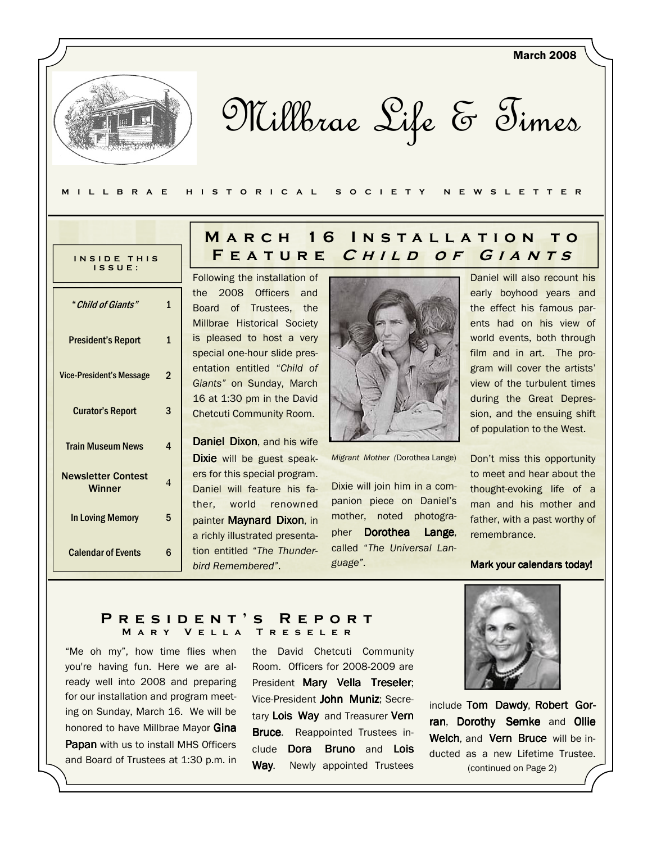Millbrae Life & Times

#### M I L L B R A E H I S T O R I C A L S O C I E T Y N E W S L E T T E R

| INSIDE THIS<br>ISSUE:                      |              |
|--------------------------------------------|--------------|
| " Child of Giants"                         | 1            |
| <b>President's Report</b>                  | $\mathbf{1}$ |
| <b>Vice-President's Message</b>            | 2            |
| <b>Curator's Report</b>                    | 3            |
| <b>Train Museum News</b>                   | 4            |
| <b>Newsletter Contest</b><br><b>Winner</b> | 4            |
| In Loving Memory                           | 5            |
| <b>Calendar of Events</b>                  | հ            |

# MARCH 16 INSTALLATION TO FEATURE CHILD OF GIANTS

Following the installation of the 2008 Officers and Board of Trustees, the Millbrae Historical Society is pleased to host a very special one-hour slide presentation entitled "Child of Giants" on Sunday, March 16 at 1:30 pm in the David Chetcuti Community Room.

Daniel Dixon, and his wife Dixie will be guest speakers for this special program. Daniel will feature his father, world renowned painter Maynard Dixon, in a richly illustrated presentation entitled "The Thunderbird Remembered".



Migrant Mother (Dorothea Lange)

Dixie will join him in a companion piece on Daniel's mother, noted photographer Dorothea Lange, called "The Universal Language".

Daniel will also recount his early boyhood years and the effect his famous parents had on his view of world events, both through film and in art. The program will cover the artists' view of the turbulent times during the Great Depression, and the ensuing shift of population to the West.

March 2008

Don't miss this opportunity to meet and hear about the thought-evoking life of a man and his mother and father, with a past worthy of remembrance.

#### Mark your calendars today!

#### PRESIDENT'S REPORT MARY VELLA TRESELER

"Me oh my", how time flies when you're having fun. Here we are already well into 2008 and preparing for our installation and program meeting on Sunday, March 16. We will be honored to have Millbrae Mayor Gina **Papan** with us to install MHS Officers and Board of Trustees at 1:30 p.m. in

the David Chetcuti Community Room. Officers for 2008-2009 are President Mary Vella Treseler; Vice-President John Muniz; Secretary Lois Way and Treasurer Vern **Bruce.** Reappointed Trustees include Dora Bruno and Lois Way. Newly appointed Trustees



include Tom Dawdy, Robert Gorran, Dorothy Semke and Ollie Welch, and Vern Bruce will be inducted as a new Lifetime Trustee. (continued on Page 2)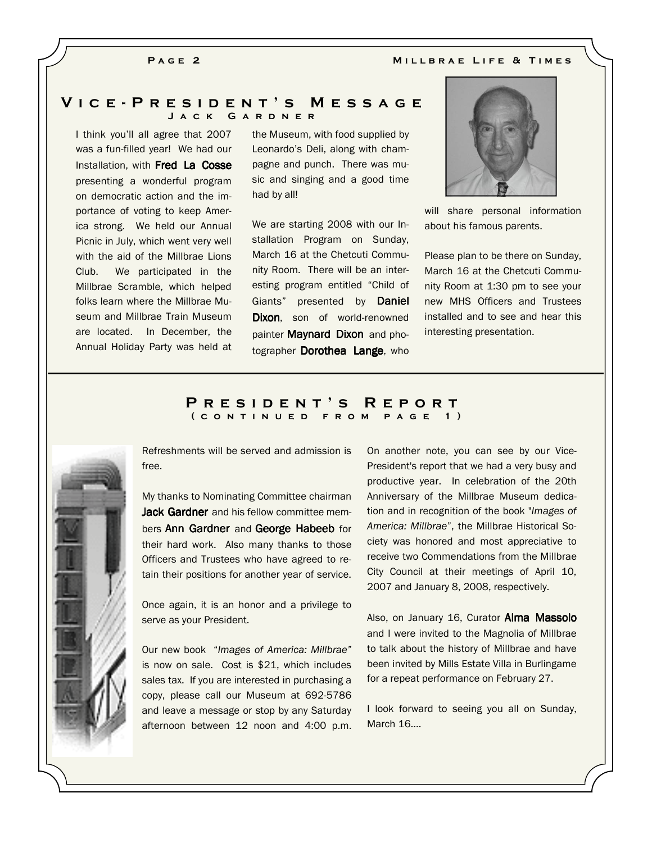#### PAGE<sub>2</sub>

MILLBRAE LIFE & TIMES

#### V i c e - P r e s i d e n t ' s M e s s a g e J a c k G a r d n e r

I think you'll all agree that 2007 was a fun-filled year! We had our Installation, with **Fred La Cosse** presenting a wonderful program on democratic action and the importance of voting to keep America strong. We held our Annual Picnic in July, which went very well with the aid of the Millbrae Lions Club. We participated in the Millbrae Scramble, which helped folks learn where the Millbrae Museum and Millbrae Train Museum are located. In December, the Annual Holiday Party was held at

the Museum, with food supplied by Leonardo's Deli, along with champagne and punch. There was music and singing and a good time had by all!

We are starting 2008 with our Installation Program on Sunday, March 16 at the Chetcuti Community Room. There will be an interesting program entitled "Child of Giants" presented by Daniel Dixon, son of world-renowned painter Maynard Dixon and photographer Dorothea Lange, who



will share personal information about his famous parents.

Please plan to be there on Sunday, March 16 at the Chetcuti Community Room at 1:30 pm to see your new MHS Officers and Trustees installed and to see and hear this interesting presentation.

#### P R E S I D E N T 'S R E P O R T ( c o n t i n u e d f r o m p a g e 1 )



Refreshments will be served and admission is free.

My thanks to Nominating Committee chairman **Jack Gardner** and his fellow committee members **Ann Gardner** and George Habeeb for their hard work. Also many thanks to those Officers and Trustees who have agreed to retain their positions for another year of service.

Once again, it is an honor and a privilege to serve as your President.

Our new book "Images of America: Millbrae" is now on sale. Cost is \$21, which includes sales tax. If you are interested in purchasing a copy, please call our Museum at 692-5786 and leave a message or stop by any Saturday afternoon between 12 noon and 4:00 p.m. On another note, you can see by our Vice-President's report that we had a very busy and productive year. In celebration of the 20th Anniversary of the Millbrae Museum dedication and in recognition of the book "Images of America: Millbrae", the Millbrae Historical Society was honored and most appreciative to receive two Commendations from the Millbrae City Council at their meetings of April 10, 2007 and January 8, 2008, respectively.

Also, on January 16, Curator **Alma Massolo** and I were invited to the Magnolia of Millbrae to talk about the history of Millbrae and have been invited by Mills Estate Villa in Burlingame for a repeat performance on February 27.

I look forward to seeing you all on Sunday, March 16....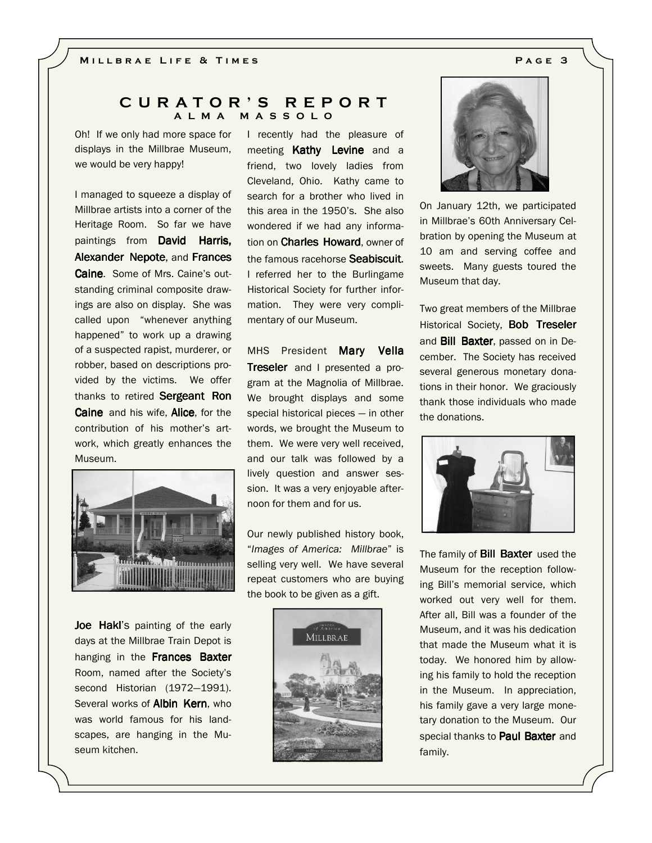#### C U R A T O R ' S R E P O R T A L M A M A S S O L O

Oh! If we only had more space for displays in the Millbrae Museum, we would be very happy!

I managed to squeeze a display of Millbrae artists into a corner of the Heritage Room. So far we have paintings from David Harris, Alexander Nepote, and Frances Caine. Some of Mrs. Caine's outstanding criminal composite drawings are also on display. She was called upon "whenever anything happened" to work up a drawing of a suspected rapist, murderer, or robber, based on descriptions provided by the victims. We offer thanks to retired Sergeant Ron **Caine** and his wife, **Alice**, for the contribution of his mother's artwork, which greatly enhances the Museum.



Joe Hakl's painting of the early days at the Millbrae Train Depot is hanging in the Frances Baxter Room, named after the Society's second Historian (1972—1991). Several works of **Albin Kern**, who was world famous for his landscapes, are hanging in the Museum kitchen.

I recently had the pleasure of meeting Kathy Levine and a friend, two lovely ladies from Cleveland, Ohio. Kathy came to search for a brother who lived in this area in the 1950's. She also wondered if we had any information on **Charles Howard**, owner of the famous racehorse Seabiscuit. I referred her to the Burlingame Historical Society for further information. They were very complimentary of our Museum.

MHS President Mary Vella Treseler and I presented a program at the Magnolia of Millbrae. We brought displays and some special historical pieces — in other words, we brought the Museum to them. We were very well received, and our talk was followed by a lively question and answer session. It was a very enjoyable afternoon for them and for us.

Our newly published history book, "Images of America: Millbrae" is selling very well. We have several repeat customers who are buying the book to be given as a gift.





On January 12th, we participated in Millbrae's 60th Anniversary Celbration by opening the Museum at 10 am and serving coffee and sweets. Many guests toured the Museum that day.

Two great members of the Millbrae Historical Society, Bob Treseler and Bill Baxter, passed on in December. The Society has received several generous monetary donations in their honor. We graciously thank those individuals who made the donations.



The family of **Bill Baxter** used the Museum for the reception following Bill's memorial service, which worked out very well for them. After all, Bill was a founder of the Museum, and it was his dedication that made the Museum what it is today. We honored him by allowing his family to hold the reception in the Museum. In appreciation, his family gave a very large monetary donation to the Museum. Our special thanks to **Paul Baxter** and family.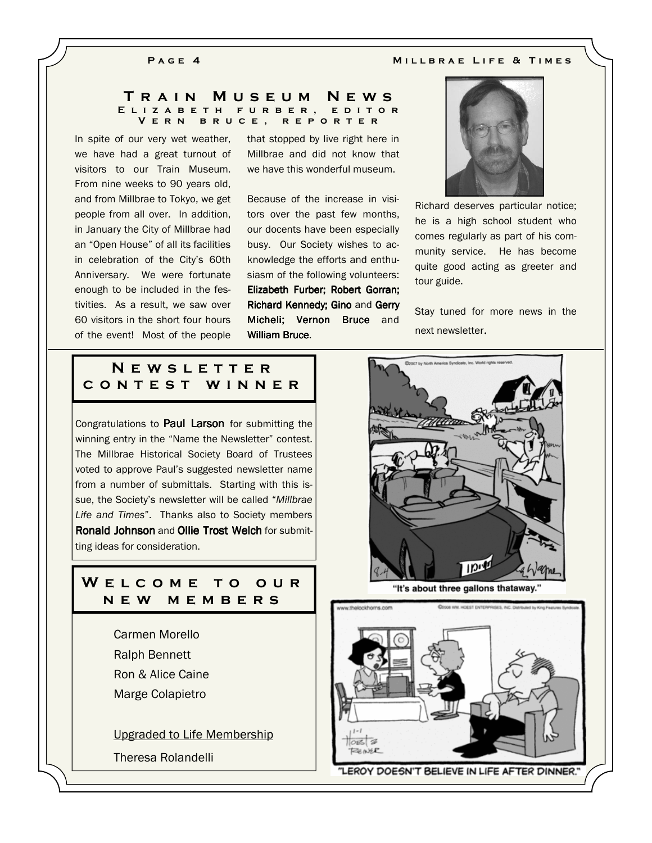#### PAGE 4 MILLBRAE LIFE & TIMES

#### TRAIN MUSEUM NEWS E L I Z A B E T H F U R B E R , E D I T O R V e r n b r u c e , r e p o r t e r

In spite of our very wet weather, we have had a great turnout of visitors to our Train Museum. From nine weeks to 90 years old, and from Millbrae to Tokyo, we get people from all over. In addition, in January the City of Millbrae had an "Open House" of all its facilities in celebration of the City's 60th Anniversary. We were fortunate enough to be included in the festivities. As a result, we saw over 60 visitors in the short four hours of the event! Most of the people

that stopped by live right here in Millbrae and did not know that we have this wonderful museum.

Because of the increase in visitors over the past few months, our docents have been especially busy. Our Society wishes to acknowledge the efforts and enthusiasm of the following volunteers: Elizabeth Furber; Robert Gorran; Richard Kennedy; Gino and Gerry Micheli; Vernon Bruce and William Bruce.



Richard deserves particular notice; he is a high school student who comes regularly as part of his community service. He has become quite good acting as greeter and tour guide.

Stay tuned for more news in the next newsletter.

# N E W S L E T T E R c o n t e s t w i n n e r

Congratulations to **Paul Larson** for submitting the winning entry in the "Name the Newsletter" contest. The Millbrae Historical Society Board of Trustees voted to approve Paul's suggested newsletter name from a number of submittals. Starting with this issue, the Society's newsletter will be called "Millbrae Life and Times". Thanks also to Society members Ronald Johnson and Ollie Trost Welch for submitting ideas for consideration.

## W E L C O M E T O O U R n e w m e m b e r s

Carmen Morello Ralph Bennett Ron & Alice Caine Marge Colapietro

Upgraded to Life Membership

Theresa Rolandelli



"It's about three gallons thataway.

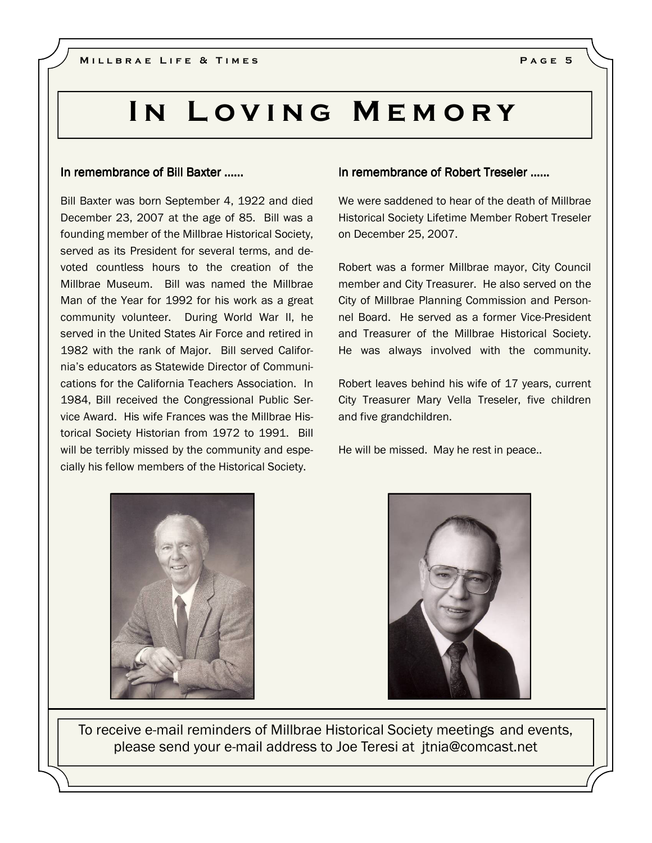# IN LOVING MEMORY

#### In remembrance of Bill Baxter ......

Bill Baxter was born September 4, 1922 and died December 23, 2007 at the age of 85. Bill was a founding member of the Millbrae Historical Society, served as its President for several terms, and devoted countless hours to the creation of the Millbrae Museum. Bill was named the Millbrae Man of the Year for 1992 for his work as a great community volunteer. During World War II, he served in the United States Air Force and retired in 1982 with the rank of Major. Bill served California's educators as Statewide Director of Communications for the California Teachers Association. In 1984, Bill received the Congressional Public Service Award. His wife Frances was the Millbrae Historical Society Historian from 1972 to 1991. Bill will be terribly missed by the community and especially his fellow members of the Historical Society.

## In remembrance of Robert Treseler …...

We were saddened to hear of the death of Millbrae Historical Society Lifetime Member Robert Treseler on December 25, 2007.

Robert was a former Millbrae mayor, City Council member and City Treasurer. He also served on the City of Millbrae Planning Commission and Personnel Board. He served as a former Vice-President and Treasurer of the Millbrae Historical Society. He was always involved with the community.

Robert leaves behind his wife of 17 years, current City Treasurer Mary Vella Treseler, five children and five grandchildren.

He will be missed. May he rest in peace..





To receive e-mail reminders of Millbrae Historical Society meetings and events, please send your e-mail address to Joe Teresi at jtnia@comcast.net